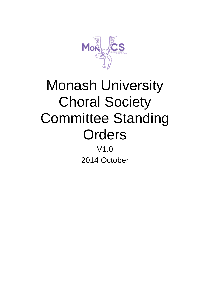

# Monash University Choral Society Committee Standing **Orders**

V1.0 2014 October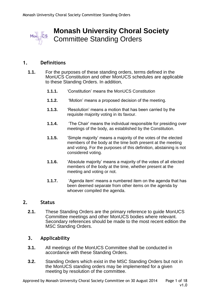

# **Monash University Choral Society** Committee Standing Orders

# **1. Definitions**

- **1.1.** For the purposes of these standing orders, terms defined in the MonUCS Constitution and other MonUCS schedules are applicable to these Standing Orders. In addition,
	- **1.1.1.** 'Constitution' means the MonUCS Constitution
	- **1.1.2.** 'Motion' means a proposed decision of the meeting.
	- **1.1.3.** 'Resolution' means a motion that has been carried by the requisite majority voting in its favour.
	- **1.1.4.** 'The Chair' means the individual responsible for presiding over meetings of the body, as established by the Constitution.
	- **1.1.5.** 'Simple majority' means a majority of the votes of the elected members of the body at the time both present at the meeting and voting. For the purposes of this definition, abstaining is not considered voting.
	- **1.1.6.** 'Absolute majority' means a majority of the votes of all elected members of the body at the time, whether present at the meeting and voting or not.
	- **1.1.7.** 'Agenda item' means a numbered item on the agenda that has been deemed separate from other items on the agenda by whoever compiled the agenda.

#### **2. Status**

**2.1.** These Standing Orders are the primary reference to guide MonUCS Committee meetings and other MonUCS bodies where relevant. Secondary references should be made to the most recent edition the MSC Standing Orders.

# **3. Applicability**

- **3.1.** All meetings of the MonUCS Committee shall be conducted in accordance with these Standing Orders.
- **3.2.** Standing Orders which exist in the MSC Standing Orders but not in the MonUCS standing orders may be implemented for a given meeting by resolution of the committee.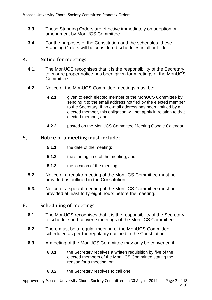- **3.3.** These Standing Orders are effective immediately on adoption or amendment by MonUCS Committee.
- **3.4.** For the purposes of the Constitution and the schedules, these Standing Orders will be considered schedules in all but title.

# **4. Notice for meetings**

- **4.1.** The MonUCS recognises that it is the responsibility of the Secretary to ensure proper notice has been given for meetings of the MonUCS Committee.
- <span id="page-2-0"></span>**4.2.** Notice of the MonUCS Committee meetings must be;
	- **4.2.1.** given to each elected member of the MonUCS Committee by sending it to the email address notified by the elected member to the Secretary. If no e-mail address has been notified by a elected member, this obligation will not apply in relation to that elected member; and
	- **4.2.2.** posted on the MonUCS Committee Meeting Google Calendar;

# **5. Notice of a meeting must include:**

- **5.1.1.** the date of the meeting;
- **5.1.2.** the starting time of the meeting; and
- **5.1.3.** the location of the meeting.
- **5.2.** Notice of a regular meeting of the MonUCS Committee must be provided as outlined in the Constitution.
- <span id="page-2-1"></span>**5.3.** Notice of a special meeting of the MonUCS Committee must be provided at least forty-eight hours before the meeting.

# **6. Scheduling of meetings**

- **6.1.** The MonUCS recognises that it is the responsibility of the Secretary to schedule and convene meetings of the MonUCS Committee.
- **6.2.** There must be a regular meeting of the MonUCS Committee scheduled as per the regularity outlined in the Constitution.
- **6.3.** A meeting of the MonUCS Committee may only be convened if:
	- **6.3.1.** the Secretary receives a written requisition by five of the elected members of the MonUCS Committee stating the reason for a meeting, or;
	- **6.3.2.** the Secretary resolves to call one.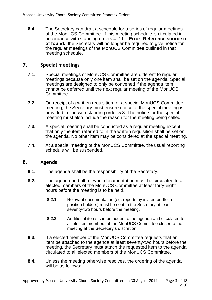**6.4.** The Secretary can draft a schedule for a series of regular meetings of the MonUCS Committee. If this meeting schedule is circulated in accordance with standing orders [4.2.1](#page-2-0) – **Error! Reference source n ot found.**, the Secretary will no longer be required to give notice for the regular meetings of the MonUCS Committee outlined in that meeting schedule.

# **7. Special meetings**

- **7.1.** Special meetings of MonUCS Committee are different to regular meetings because only one item shall be set on the agenda. Special meetings are designed to only be convened if the agenda item cannot be deferred until the next regular meeting of the MonUCS Committee.
- **7.2.** On receipt of a written requisition for a special MonUCS Committee meeting, the Secretary must ensure notice of the special meeting is provided in line with standing order [5.3.](#page-2-1) The notice for the special meeting must also include the reason for the meeting being called.
- **7.3.** A special meeting shall be conducted as a regular meeting except that only the item referred to in the written requisition shall be set on the agenda. No other item may be considered at the special meeting.
- **7.4.** At a special meeting of the MonUCS Committee, the usual reporting schedule will be suspended.

# **8. Agenda**

- **8.1.** The agenda shall be the responsibility of the Secretary.
- **8.2.** The agenda and all relevant documentation must be circulated to all elected members of the MonUCS Committee at least forty-eight hours before the meeting is to be held.
	- **8.2.1.** Relevant documentation (eg. reports by invited portfolio position holders) must be sent to the Secretary at least seventy-two hours before the meeting.
	- **8.2.2.** Additional items can be added to the agenda and circulated to all elected members of the MonUCS Committee closer to the meeting at the Secretary's discretion.
- **8.3.** If a elected member of the MonUCS Committee requests that an item be attached to the agenda at least seventy-two hours before the meeting, the Secretary must attach the requested item to the agenda circulated to all elected members of the MonUCS Committee.
- **8.4.** Unless the meeting otherwise resolves, the ordering of the agenda will be as follows: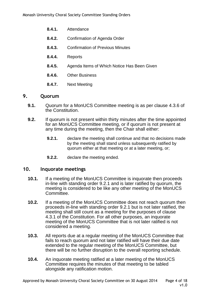- **8.4.1.** Attendance
- **8.4.2.** Confirmation of Agenda Order
- **8.4.3.** Confirmation of Previous Minutes
- **8.4.4.** Reports
- **8.4.5.** Agenda Items of Which Notice Has Been Given
- **8.4.6.** Other Business
- **8.4.7.** Next Meeting

#### **9. Quorum**

- **9.1.** Quorum for a MonUCS Committee meeting is as per clause 4.3.6 of the Constitution.
- <span id="page-4-1"></span><span id="page-4-0"></span>**9.2.** If quorum is not present within thirty minutes after the time appointed for an MonUCS Committee meeting, or if quorum is not present at any time during the meeting, then the Chair shall either:
	- **9.2.1.** declare the meeting shall continue and that no decisions made by the meeting shall stand unless subsequently ratified by quorum either at that meeting or at a later meeting, or;
	- **9.2.2.** declare the meeting ended.

#### **10. Inquorate meetings**

- **10.1.** If a meeting of the MonUCS Committee is inquorate then proceeds in-line with standing order [9.2.1](#page-4-0) and is later ratified by quorum, the meeting is considered to be like any other meeting of the MonUCS Committee.
- **10.2.** If a meeting of the MonUCS Committee does not reach quorum then proceeds in-line with standing order [9.2.1](#page-4-0) but is not later ratified, the meeting shall still count as a meeting for the purposes of clause 4.3.1 of the Constitution. For all other purposes, an inquorate meeting of the MonUCS Committee that is not later ratified is not considered a meeting.
- **10.3.** All reports due at a regular meeting of the MonUCS Committee that fails to reach quorum and not later ratified will have their due date extended to the regular meeting of the MonUCS Committee, but there will be no further disruption to the overall reporting schedule.
- **10.4.** An inquorate meeting ratified at a later meeting of the MonUCS Committee requires the minutes of that meeting to be tabled alongside any ratification motion.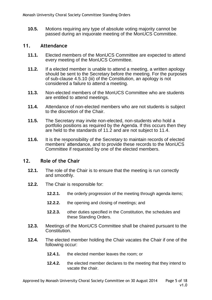**10.5.** Motions requiring any type of absolute voting majority cannot be passed during an inquorate meeting of the MonUCS Committee.

#### **11. Attendance**

- **11.1.** Elected members of the MonUCS Committee are expected to attend every meeting of the MonUCS Committee.
- <span id="page-5-0"></span>**11.2.** If a elected member is unable to attend a meeting, a written apology should be sent to the Secretary before the meeting. For the purposes of sub-clause 4.5.10 (iii) of the Constitution, an apology is not considered a failure to attend a meeting.
- **11.3.** Non-elected members of the MonUCS Committee who are students are entitled to attend meetings.
- <span id="page-5-1"></span>**11.4.** Attendance of non-elected members who are not students is subject to the discretion of the Chair.
- **11.5.** The Secretary may invite non-elected, non-students who hold a portfolio positions as required by the Agenda. If this occurs then they are held to the standards of [11.2](#page-5-0) and are not subject to [11.4.](#page-5-1)
- **11.6.** It is the responsibility of the Secretary to maintain records of elected members' attendance, and to provide these records to the MonUCS Committee if requested by one of the elected members.

# **12. Role of the Chair**

- **12.1.** The role of the Chair is to ensure that the meeting is run correctly and smoothly.
- **12.2.** The Chair is responsible for:
	- **12.2.1.** the orderly progression of the meeting through agenda items;
	- **12.2.2.** the opening and closing of meetings; and
	- **12.2.3.** other duties specified in the Constitution, the schedules and these Standing Orders.
- **12.3.** Meetings of the MonUCS Committee shall be chaired pursuant to the Constitution.
- **12.4.** The elected member holding the Chair vacates the Chair if one of the following occur:
	- **12.4.1.** the elected member leaves the room; or
	- **12.4.2.** the elected member declares to the meeting that they intend to vacate the chair.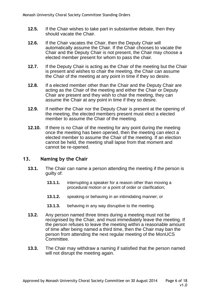- **12.5.** If the Chair wishes to take part in substantive debate, then they should vacate the Chair.
- **12.6.** If the Chair vacates the Chair, then the Deputy Chair will automatically assume the Chair. If the Chair chooses to vacate the Chair and the Deputy Chair is not present, the Chair may choose a elected member present for whom to pass the chair.
- **12.7.** If the Deputy Chair is acting as the Chair of the meeting but the Chair is present and wishes to chair the meeting, the Chair can assume the Chair of the meeting at any point in time if they so desire.
- **12.8.** If a elected member other than the Chair and the Deputy Chair are acting as the Chair of the meeting and either the Chair or Deputy Chair are present and they wish to chair the meeting, they can assume the Chair at any point in time if they so desire.
- **12.9.** If neither the Chair nor the Deputy Chair is present at the opening of the meeting, the elected members present must elect a elected member to assume the Chair of the meeting.
- **12.10.** If there is no Chair of the meeting for any point during the meeting once the meeting has been opened, then the meeting can elect a elected member to assume the Chair of the meeting. If an election cannot be held, the meeting shall lapse from that moment and cannot be re-opened.

# **13. Naming by the Chair**

- **13.1.** The Chair can name a person attending the meeting if the person is guilty of:
	- **13.1.1.** interrupting a speaker for a reason other than moving a procedural motion or a point of order or clarification;
	- **13.1.2.** speaking or behaving in an intimidating manner; or
	- **13.1.3.** behaving in any way disruptive to the meeting.
- **13.2.** Any person named three times during a meeting must not be recognised by the Chair, and must immediately leave the meeting. If the person refuses to leave the meeting within a reasonable amount of time after being named a third time, then the Chair may ban the person from attending the next regular meeting of the MonUCS Committee.
- **13.3.** The Chair may withdraw a naming if satisfied that the person named will not disrupt the meeting again.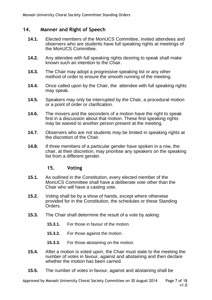# **14. Manner and Right of Speech**

- **14.1.** Elected members of the MonUCS Committee, invited attendees and observers who are students have full speaking rights at meetings of the MonUCS Committee.
- **14.2.** Any attendee with full speaking rights desiring to speak shall make known such an intention to the Chair.
- **14.3.** The Chair may adopt a progressive speaking list or any other method of order to ensure the smooth running of the meeting.
- **14.4.** Once called upon by the Chair, the attendee with full speaking rights may speak.
- **14.5.** Speakers may only be interrupted by the Chair, a procedural motion or a point of order or clarification.
- **14.6.** The movers and the seconders of a motion have the right to speak first in a discussion about that motion. These first speaking rights may be waived to another person present at the meeting.
- **14.7.** Observers who are not students may be limited in speaking rights at the discretion of the Chair.
- **14.8.** If three members of a particular gender have spoken in a row, the chair, at their discretion, may prioritise any speakers on the speaking list from a different gender.

# **15. Voting**

- **15.1.** As outlined in the Constitution, every elected member of the MonUCS Committee shall have a deliberate vote other than the Chair who will have a casting vote.
- **15.2.** Voting shall be by a show of hands, except where otherwise provided for in the Constitution, the schedules or these Standing Orders.
- **15.3.** The Chair shall determine the result of a vote by asking:
	- **15.3.1.** For those in favour of the motion.
	- **15.3.2.** For those against the motion.
	- **15.3.3.** For those abstaining on the motion.
- **15.4.** After a motion is voted upon, the Chair must state to the meeting the number of votes in favour, against and abstaining and then declare whether the motion has been carried.
- **15.5.** The number of votes in favour, against and abstaining shall be

Approved by Monash University Choral Society Committee on 30 August 2014 Page 7 of 18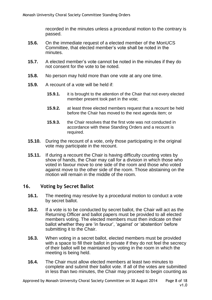recorded in the minutes unless a procedural motion to the contrary is passed.

- **15.6.** On the immediate request of a elected member of the MonUCS Committee, that elected member's vote shall be noted in the minutes.
- **15.7.** A elected member's vote cannot be noted in the minutes if they do not consent for the vote to be noted.
- **15.8.** No person may hold more than one vote at any one time.
- **15.9.** A recount of a vote will be held if:
	- **15.9.1.** it is brought to the attention of the Chair that not every elected member present took part in the vote;
	- **15.9.2.** at least three elected members request that a recount be held before the Chair has moved to the next agenda item; or
	- **15.9.3.** the Chair resolves that the first vote was not conducted in accordance with these Standing Orders and a recount is required.
- **15.10.** During the recount of a vote, only those participating in the original vote may participate in the recount.
- **15.11.** If during a recount the Chair is having difficulty counting votes by show of hands, the Chair may call for a division in which those who voted in favour move to one side of the room and those who voted against move to the other side of the room. Those abstaining on the motion will remain in the middle of the room.

# **16. Voting by Secret Ballot**

- **16.1.** The meeting may resolve by a procedural motion to conduct a vote by secret ballot.
- <span id="page-8-0"></span>**16.2.** If a vote is to be conducted by secret ballot, the Chair will act as the Returning Officer and ballot papers must be provided to all elected members voting. The elected members must then indicate on their ballot whether they are 'in favour', 'against' or 'abstention' before submitting it to the Chair.
- **16.3.** When voting in a secret ballot, elected members must be provided with a space to fill their ballot in private if they do not feel the secrecy of their ballot will be maintained by voting in the room in which the meeting is being held.
- **16.4.** The Chair must allow elected members at least two minutes to complete and submit their ballot vote. If all of the votes are submitted in less than two minutes, the Chair may proceed to begin counting as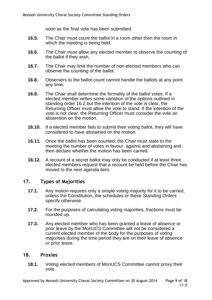soon as the final vote has been submitted.

- **16.5.** The Chair must count the ballot in a room other then the room in which the meeting is being held.
- **16.6.** The Chair must allow any elected member to observe the counting of the ballot if they wish.
- **16.7.** The Chair may limit the number of non-elected members who can observe the counting of the ballot.
- **16.8.** Observers to the ballot count cannot handle the ballots at any point any time.
- **16.9.** The Chair shall determine the formality of the ballot votes. If a elected member writes some variation of the options outlined in standing order [16.2](#page-8-0) but the intention of the vote is clear, the Returning Officer must allow the vote to stand. If the intention of the vote is not clear, the Returning Officer must consider the vote an abstention on the motion.
- **16.10.** If a elected member fails to submit their voting ballot, they will have considered to have abstained on the motion.
- **16.11.** Once the ballot has been counted, the Chair must state to the meeting the number of votes in favour, against and abstaining and then declare whether the motion has been carried.
- **16.12.** A recount of a secret ballot may only be conducted if at least three elected members request that a recount be held before the Chair has moved to the next agenda item.

# **17. Types of Majorities**

- **17.1.** Any motion requires only a simple voting majority for it to be carried, unless the Constitution, the schedules or these Standing Orders specify otherwise.
- **17.2.** For the purposes of calculating voting majorities, fractions must be rounded up.
- **17.3.** Any elected member who has been granted a leave of absence or prior leave by the MonUCS Committee will not be considered a current elected member of the body for the purposes of voting majorities during the time period they are on their leave of absence or prior leave.

#### **18. Proxies**

**18.1.** Voting elected members of MonUCS Committee cannot proxy their vote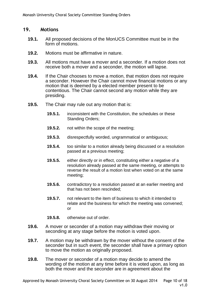#### **19. Motions**

- **19.1.** All proposed decisions of the MonUCS Committee must be in the form of motions.
- **19.2.** Motions must be affirmative in nature.
- **19.3.** All motions must have a mover and a seconder. If a motion does not receive both a mover and a seconder, the motion will lapse.
- **19.4.** If the Chair chooses to move a motion, that motion does not require a seconder. However the Chair cannot move financial motions or any motion that is deemed by a elected member present to be contentious. The Chair cannot second any motion while they are presiding.
- <span id="page-10-2"></span><span id="page-10-0"></span>**19.5.** The Chair may rule out any motion that is:
	- **19.5.1.** inconsistent with the Constitution, the schedules or these Standing Orders;
	- **19.5.2.** not within the scope of the meeting;
	- **19.5.3.** disrespectfully worded, ungrammatical or ambiguous;
	- **19.5.4.** too similar to a motion already being discussed or a resolution passed at a previous meeting;
	- **19.5.5.** either directly or in effect, constituting either a negative of a resolution already passed at the same meeting, or attempts to reverse the result of a motion lost when voted on at the same meeting;
	- **19.5.6.** contradictory to a resolution passed at an earlier meeting and that has not been rescinded;
	- **19.5.7.** not relevant to the item of business to which it intended to relate and the business for which the meeting was convened; or
	- **19.5.8.** otherwise out of order.
- <span id="page-10-1"></span>**19.6.** A mover or seconder of a motion may withdraw their moving or seconding at any stage before the motion is voted upon.
- **19.7.** A motion may be withdrawn by the mover without the consent of the seconder but in such event, the seconder shall have a primary option to move the motion as originally proposed.
- **19.8.** The mover or seconder of a motion may decide to amend the wording of the motion at any time before it is voted upon, as long as both the mover and the seconder are in agreement about the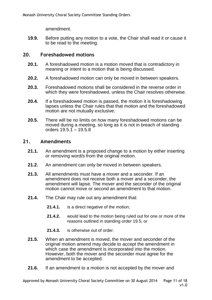amendment.

**19.9.** Before putting any motion to a vote, the Chair shall read it or cause it to be read to the meeting.

# **20. Foreshadowed motions**

- **20.1.** A foreshadowed motion is a motion moved that is contradictory in meaning or intent to a motion that is being discussed.
- **20.2.** A foreshadowed motion can only be moved in between speakers.
- **20.3.** Foreshadowed motions shall be considered in the reverse order in which they were foreshadowed, unless the Chair resolves otherwise.
- **20.4.** If a foreshadowed motion is passed, the motion it is foreshadowing lapses unless the Chair rules that that motion and the foreshadowed motion are not mutually exclusive.
- **20.5.** There will be no limits on how many foreshadowed motions can be moved during a meeting, so long as it is not in breach of standing orders [19.5.1](#page-10-0) – [19.5.8](#page-10-1)

# **21. Amendments**

- **21.1.** An amendment is a proposed change to a motion by either inserting or removing word/s from the original motion.
- **21.2.** An amendment can only be moved in between speakers.
- **21.3.** All amendments must have a mover and a seconder. If an amendment does not receive both a mover and a seconder, the amendment will lapse. The mover and the seconder of the original motion cannot move or second an amendment to that motion.
- **21.4.** The Chair may rule out any amendment that:
	- **21.4.1.** is a direct negative of the motion;
	- **21.4.2.** would lead to the motion being ruled out for one or more of the reasons outlined in standing order [19.5;](#page-10-2) or
	- **21.4.3.** is otherwise out of order.
- **21.5.** When an amendment is moved, the mover and seconder of the original motion amend may decide to accept the amendment in which case the amendment is incorporated into the motion. However, both the mover and the seconder must agree for the amendment to be accepted.
- **21.6.** If an amendment to a motion is not accepted by the mover and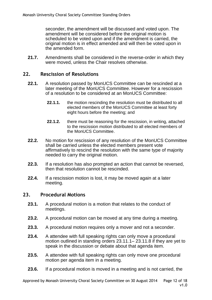seconder, the amendment will be discussed and voted upon. The amendment will be considered before the original motion is scheduled to be voted upon and if the amendment is carried, the original motion is in effect amended and will then be voted upon in the amended form.

**21.7.** Amendments shall be considered in the reverse-order in which they were moved, unless the Chair resolves otherwise.

#### **22. Rescission of Resolutions**

- **22.1.** A resolution passed by MonUCS Committee can be rescinded at a later meeting of the MonUCS Committee. However for a rescission of a resolution to be considered at an MonUCS Committee:
	- **22.1.1.** the motion rescinding the resolution must be distributed to all elected members of the MonUCS Committee at least forty eight hours before the meeting; and
	- **22.1.2.** there must be reasoning for the rescission, in writing, attached to the rescission motion distributed to all elected members of the MonUCS Committee.
- **22.2.** No motion for rescission of any resolution of the MonUCS Committee shall be carried unless the elected members present vote affirmatively to rescind the resolution with the same type of majority needed to carry the original motion.
- **22.3.** If a resolution has also prompted an action that cannot be reversed, then that resolution cannot be rescinded.
- **22.4.** If a rescission motion is lost, it may be moved again at a later meeting.

#### **23. Procedural Motions**

- **23.1.** A procedural motion is a motion that relates to the conduct of meetings.
- **23.2.** A procedural motion can be moved at any time during a meeting.
- **23.3.** A procedural motion requires only a mover and not a seconder.
- **23.4.** A attendee with full speaking rights can only move a procedural motion outlined in standing orders [23.11.1–](#page-13-0) [23.11.8](#page-13-1) if they are yet to speak in the discussion or debate about that agenda item.
- **23.5.** A attendee with full speaking rights can only move one procedural motion per agenda item in a meeting.
- **23.6.** If a procedural motion is moved in a meeting and is not carried, the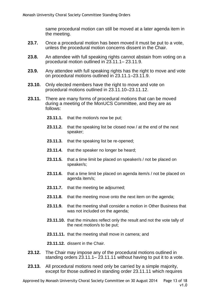same procedural motion can still be moved at a later agenda item in the meeting.

- **23.7.** Once a procedural motion has been moved it must be put to a vote, unless the procedural motion concerns dissent in the Chair.
- **23.8.** An attendee with full speaking rights cannot abstain from voting on a procedural motion outlined in [23.11.1–](#page-13-0) [23.11.9.](#page-13-2)
- **23.9.** Any attendee with full speaking rights has the right to move and vote on procedural motions outlined in [23.11.1](#page-13-0)[–23.11.9.](#page-13-2)
- **23.10.** Only elected members have the right to move and vote on procedural motions outlined in [23.11.10–](#page-13-3)[23.11.12.](#page-13-4)
- <span id="page-13-0"></span>**23.11.** There are many forms of procedural motions that can be moved during a meeting of the MonUCS Committee, and they are as follows:
	- **23.11.1.** that the motion/s now be put;
	- **23.11.2.** that the speaking list be closed now / at the end of the next speaker;
	- **23.11.3.** that the speaking list be re-opened;
	- **23.11.4.** that the speaker no longer be heard;
	- **23.11.5.** that a time limit be placed on speaker/s / not be placed on speaker/s;
	- **23.11.6.** that a time limit be placed on agenda item/s / not be placed on agenda item/s;
	- **23.11.7.** that the meeting be adjourned;
	- **23.11.8.** that the meeting move onto the next item on the agenda;
	- **23.11.9.** that the meeting shall consider a motion in Other Business that was not included on the agenda;
	- **23.11.10.** that the minutes reflect only the result and not the vote tally of the next motion/s to be put;
	- **23.11.11.** that the meeting shall move in camera; and

<span id="page-13-2"></span><span id="page-13-1"></span>**23.11.12.** dissent in the Chair.

- <span id="page-13-5"></span><span id="page-13-4"></span><span id="page-13-3"></span>**23.12.** The Chair may impose any of the procedural motions outlined in standing orders [23.11.1–](#page-13-0) [23.11.11](#page-13-5) without having to put it to a vote.
- **23.13.** All procedural motions need only be carried by a simple majority, except for those outlined in standing order [23.11.11](#page-13-5) which requires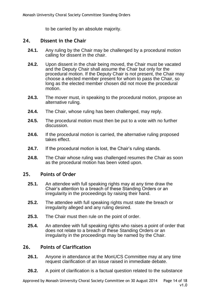to be carried by an absolute majority.

#### **24. Dissent in the Chair**

- **24.1.** Any ruling by the Chair may be challenged by a procedural motion calling for dissent in the chair.
- **24.2.** Upon dissent in the chair being moved, the Chair must be vacated and the Deputy Chair shall assume the Chair but only for the procedural motion. If the Deputy Chair is not present, the Chair may choose a elected member present for whom to pass the Chair, so long as the elected member chosen did not move the procedural motion.
- **24.3.** The mover must, in speaking to the procedural motion, propose an alternative ruling.
- **24.4.** The Chair, whose ruling has been challenged, may reply.
- **24.5.** The procedural motion must then be put to a vote with no further discussion.
- **24.6.** If the procedural motion is carried, the alternative ruling proposed takes effect.
- **24.7.** If the procedural motion is lost, the Chair's ruling stands.
- **24.8.** The Chair whose ruling was challenged resumes the Chair as soon as the procedural motion has been voted upon.

#### **25. Points of Order**

- **25.1.** An attendee with full speaking rights may at any time draw the Chair's attention to a breach of these Standing Orders or an irregularity in the proceedings by raising their hand.
- **25.2.** The attendee with full speaking rights must state the breach or irregularity alleged and any ruling desired.
- **25.3.** The Chair must then rule on the point of order.
- **25.4.** An attendee with full speaking rights who raises a point of order that does not relate to a breach of these Standing Orders or an irregularity in the proceedings may be named by the Chair.

#### **26. Points of Clarification**

- **26.1.** Anyone in attendance at the MonUCS Committee may at any time request clarification of an issue raised in immediate debate.
- **26.2.** A point of clarification is a factual question related to the substance

Approved by Monash University Choral Society Committee on 30 August 2014 Page 14 of 18 v1.0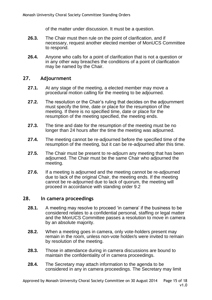of the matter under discussion. It must be a question.

- **26.3.** The Chair must then rule on the point of clarification, and if necessary, request another elected member of MonUCS Committee to respond.
- **26.4.** Anyone who calls for a point of clarification that is not a question or in any other way breaches the conditions of a point of clarification may be named by the Chair.

#### **27. Adjournment**

- **27.1.** At any stage of the meeting, a elected member may move a procedural motion calling for the meeting to be adjourned.
- **27.2.** The resolution or the Chair's ruling that decides on the adjournment must specify the time, date or place for the resumption of the meeting. If there is no specified time, date or place for the resumption of the meeting specified, the meeting ends.
- **27.3.** The time and date for the resumption of the meeting must be no longer than 24 hours after the time the meeting was adjourned.
- **27.4.** The meeting cannot be re-adjourned before the specified time of the resumption of the meeting, but it can be re-adjourned after this time.
- **27.5.** The Chair must be present to re-adjourn any meeting that has been adjourned. The Chair must be the same Chair who adjourned the meeting.
- **27.6.** If a meeting is adjourned and the meeting cannot be re-adjourned due to lack of the original Chair, the meeting ends. If the meeting cannot be re-adjourned due to lack of quorum, the meeting will proceed in accordance with standing order [9.2](#page-4-1)

#### **28. In camera proceedings**

- **28.1.** A meeting may resolve to proceed 'in camera' if the business to be considered relates to a confidential personal, staffing or legal matter and the MonUCS Committee passes a resolution to move in camera by an absolute majority.
- **28.2.** When a meeting goes in camera, only vote-holders present may remain in the room, unless non-vote holder/s were invited to remain by resolution of the meeting.
- **28.3.** Those in attendance during in camera discussions are bound to maintain the confidentiality of in camera proceedings.
- **28.4.** The Secretary may attach information to the agenda to be considered in any in camera proceedings. The Secretary may limit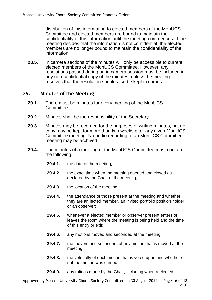distribution of this information to elected members of the MonUCS Committee and elected members are bound to maintain the confidentiality of this information until the meeting commences. If the meeting decides that the information is not confidential, the elected members are no longer bound to maintain the confidentiality of the information.

**28.5.** In camera sections of the minutes will only be accessible to current elected members of the MonUCS Committee. However, any resolutions passed during an in camera session must be included in any non-confidential copy of the minutes, unless the meeting resolves that the resolution should also be kept in camera.

#### **29. Minutes of the Meeting**

- **29.1.** There must be minutes for every meeting of the MonUCS Committee.
- **29.2.** Minutes shall be the responsibility of the Secretary.
- **29.3.** Minutes may be recorded for the purposes of writing minutes, but no copy may be kept for more than two weeks after any given MonUCS Committee meeting. No audio recording of an MonUCS Committee meeting may be archived.
- **29.4.** The minutes of a meeting of the MonUCS Committee must contain the following:
	- **29.4.1.** the date of the meeting;
	- **29.4.2.** the exact time when the meeting opened and closed as declared by the Chair of the meeting;
	- **29.4.3.** the location of the meeting;
	- **29.4.4.** the attendance of those present at the meeting and whether they are an lected member, an invited portfolio position holder or an observer;
	- **29.4.5.** whenever a elected member or observer present enters or leaves the room where the meeting is being held and the time of this entry or exit;
	- **29.4.6.** any motions moved and seconded at the meeting;
	- **29.4.7.** the movers and seconders of any motion that is moved at the meeting;
	- **29.4.8.** the vote tally of each motion that is voted upon and whether or not the motion was carried;
	- **29.4.9.** any rulings made by the Chair, including when a elected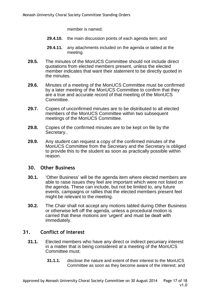member is named;

- **29.4.10.** the main discussion points of each agenda item; and
- **29.4.11.** any attachments included on the agenda or tabled at the meeting.
- **29.5.** The minutes of the MonUCS Committee should not include direct quotations from elected members present, unless the elected member indicates that want their statement to be directly quoted in the minutes.
- **29.6.** Minutes of a meeting of the MonUCS Committee must be confirmed by a later meeting of the MonUCS Committee to confirm that they are a true and accurate record of that meeting of the MonUCS Committee.
- **29.7.** Copies of unconfirmed minutes are to be distributed to all elected members of the MonUCS Committee within two subsequent meetings of the MonUCS Committee.
- **29.8.** Copies of the confirmed minutes are to be kept on file by the Secretary..
- **29.9.** Any student can request a copy of the confirmed minutes of the MonUCS Committee from the Secretary and the Secretary is obliged to provide this to the student as soon as practically possible within reason.

#### **30. Other Business**

- **30.1.** 'Other Business' will be the agenda item where elected members are able to raise issues they feel are important which were not listed on the agenda. These can include, but not be limited to, any future events, campaigns or rallies that the elected members present feel might be relevant to the meeting.
- **30.2.** The Chair shall not accept any motions tabled during Other Business or otherwise left off the agenda, unless a procedural motion is carried that these motions are 'urgent' and must be dealt with immediately.

# **31. Conflict of Interest**

- **31.1.** Elected members who have any direct or indirect pecuniary interest in a matter that is being considered at a meeting of the MonUCS Committee must;
	- **31.1.1.** disclose the nature and extent of their interest to the MonUCS Committee as soon as they become aware of the interest; and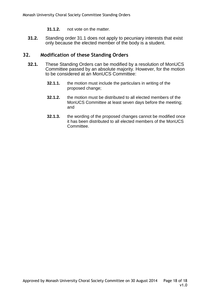- **31.1.2.** not vote on the matter.
- **31.2.** Standing order 31.1 does not apply to pecuniary interests that exist only because the elected member of the body is a student.

# **32. Modification of these Standing Orders**

- **32.1.** These Standing Orders can be modified by a resolution of MonUCS Committee passed by an absolute majority. However, for the motion to be considered at an MonUCS Committee:
	- **32.1.1.** the motion must include the particulars in writing of the proposed change;
	- **32.1.2.** the motion must be distributed to all elected members of the MonUCS Committee at least seven days before the meeting; and
	- **32.1.3.** the wording of the proposed changes cannot be modified once it has been distributed to all elected members of the MonUCS Committee.